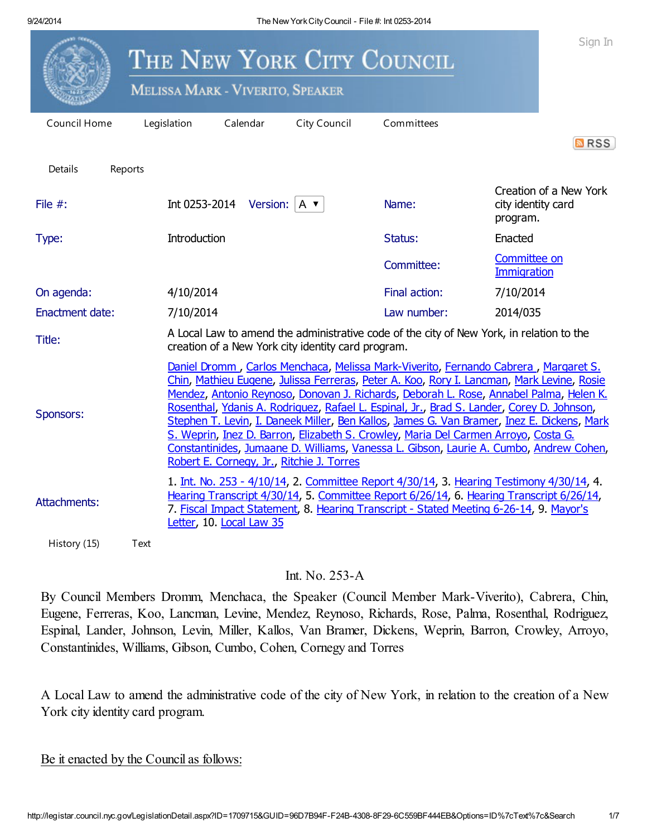|                                                                                                                                                                                                                                                                                                                                                                                                                                                                                                                                                                                                                                                                                                                 |         |                                                                                                                                                                                                                                                                                                                   | <b>MELISSA MARK - VIVERITO, SPEAKER</b>       | THE NEW YORK CITY COUNCIL                          |                                                                                          |                                           | Sign In                |
|-----------------------------------------------------------------------------------------------------------------------------------------------------------------------------------------------------------------------------------------------------------------------------------------------------------------------------------------------------------------------------------------------------------------------------------------------------------------------------------------------------------------------------------------------------------------------------------------------------------------------------------------------------------------------------------------------------------------|---------|-------------------------------------------------------------------------------------------------------------------------------------------------------------------------------------------------------------------------------------------------------------------------------------------------------------------|-----------------------------------------------|----------------------------------------------------|------------------------------------------------------------------------------------------|-------------------------------------------|------------------------|
| Council Home                                                                                                                                                                                                                                                                                                                                                                                                                                                                                                                                                                                                                                                                                                    |         | Legislation                                                                                                                                                                                                                                                                                                       | Calendar                                      | City Council                                       | Committees                                                                               |                                           | <b>MRSS</b>            |
| Details<br>File $#$ :                                                                                                                                                                                                                                                                                                                                                                                                                                                                                                                                                                                                                                                                                           | Reports |                                                                                                                                                                                                                                                                                                                   | Int 0253-2014 Version: $ A \cdot \mathbf{v} $ |                                                    | Name:                                                                                    | city identity card<br>program.            | Creation of a New York |
| Type:                                                                                                                                                                                                                                                                                                                                                                                                                                                                                                                                                                                                                                                                                                           |         | Introduction                                                                                                                                                                                                                                                                                                      |                                               |                                                    | Status:                                                                                  | Enacted                                   |                        |
|                                                                                                                                                                                                                                                                                                                                                                                                                                                                                                                                                                                                                                                                                                                 |         |                                                                                                                                                                                                                                                                                                                   |                                               |                                                    | Committee:                                                                               | <b>Committee on</b><br><b>Immigration</b> |                        |
| On agenda:                                                                                                                                                                                                                                                                                                                                                                                                                                                                                                                                                                                                                                                                                                      |         | 4/10/2014                                                                                                                                                                                                                                                                                                         |                                               |                                                    | Final action:                                                                            | 7/10/2014                                 |                        |
| <b>Enactment date:</b>                                                                                                                                                                                                                                                                                                                                                                                                                                                                                                                                                                                                                                                                                          |         | 7/10/2014                                                                                                                                                                                                                                                                                                         |                                               |                                                    | Law number:                                                                              | 2014/035                                  |                        |
| Title:                                                                                                                                                                                                                                                                                                                                                                                                                                                                                                                                                                                                                                                                                                          |         |                                                                                                                                                                                                                                                                                                                   |                                               | creation of a New York city identity card program. | A Local Law to amend the administrative code of the city of New York, in relation to the |                                           |                        |
| Daniel Dromm, Carlos Menchaca, Melissa Mark-Viverito, Fernando Cabrera, Margaret S.<br>Chin, Mathieu Eugene, Julissa Ferreras, Peter A. Koo, Rory I. Lancman, Mark Levine, Rosie<br>Mendez, Antonio Reynoso, Donovan J. Richards, Deborah L. Rose, Annabel Palma, Helen K.<br>Rosenthal, Ydanis A. Rodriguez, Rafael L. Espinal, Jr., Brad S. Lander, Corey D. Johnson,<br>Sponsors:<br>Stephen T. Levin, I. Daneek Miller, Ben Kallos, James G. Van Bramer, Inez E. Dickens, Mark<br>S. Weprin, Inez D. Barron, Elizabeth S. Crowley, Maria Del Carmen Arrovo, Costa G.<br>Constantinides, Jumaane D. Williams, Vanessa L. Gibson, Laurie A. Cumbo, Andrew Cohen,<br>Robert E. Cornegy, Jr., Ritchie J. Torres |         |                                                                                                                                                                                                                                                                                                                   |                                               |                                                    |                                                                                          |                                           |                        |
| Attachments:                                                                                                                                                                                                                                                                                                                                                                                                                                                                                                                                                                                                                                                                                                    |         | 1. <u>Int. No. 253 - 4/10/14</u> , 2. Committee Report 4/30/14, 3. Hearing Testimony 4/30/14, 4.<br>Hearing Transcript 4/30/14, 5. Committee Report 6/26/14, 6. Hearing Transcript 6/26/14,<br>7. Fiscal Impact Statement, 8. Hearing Transcript - Stated Meeting 6-26-14, 9. Mayor's<br>Letter, 10. Local Law 35 |                                               |                                                    |                                                                                          |                                           |                        |
| History (15)                                                                                                                                                                                                                                                                                                                                                                                                                                                                                                                                                                                                                                                                                                    | Text    |                                                                                                                                                                                                                                                                                                                   |                                               |                                                    |                                                                                          |                                           |                        |

## Int. No. 253-A

By Council Members Dromm, Menchaca, the Speaker (Council Member Mark-Viverito), Cabrera, Chin, Eugene, Ferreras, Koo, Lancman, Levine, Mendez, Reynoso, Richards, Rose, Palma, Rosenthal, Rodriguez, Espinal, Lander, Johnson, Levin, Miller, Kallos, Van Bramer, Dickens, Weprin, Barron, Crowley, Arroyo, Constantinides, Williams, Gibson, Cumbo, Cohen, Cornegy and Torres

A Local Law to amend the administrative code of the city of New York, in relation to the creation of a New York city identity card program.

Be it enacted by the Council as follows: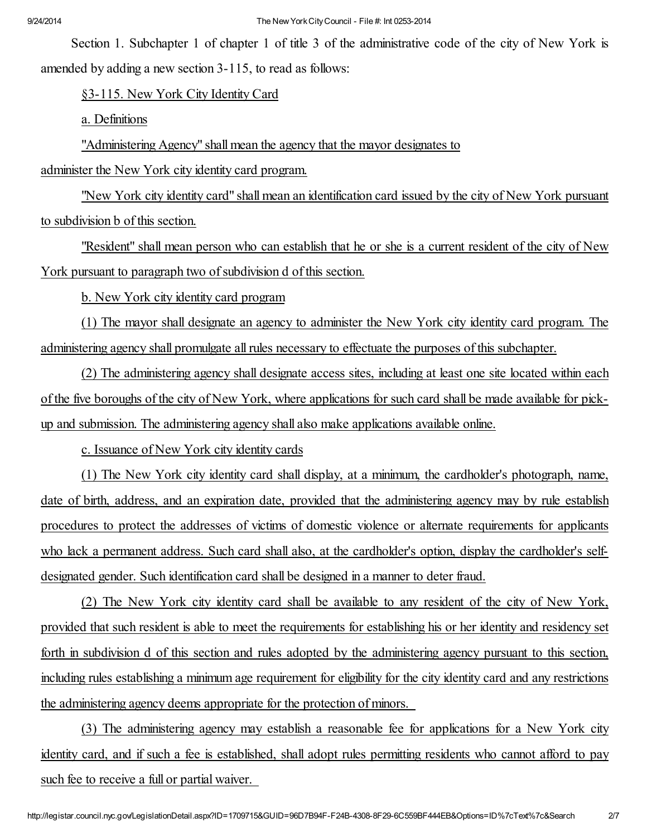Section 1. Subchapter 1 of chapter 1 of title 3 of the administrative code of the city of New York is amended by adding a new section 3-115, to read as follows:

§3-115. New York City Identity Card

a. Definitions

"Administering Agency" shall mean the agency that the mayor designates to

administer the New York city identity card program.

"New York city identity card" shall mean an identification card issued by the city of New York pursuant to subdivision b of this section.

"Resident" shall mean person who can establish that he or she is a current resident of the city of New York pursuant to paragraph two of subdivision d of this section.

b. New York city identity card program

(1) The mayor shall designate an agency to administer the New York city identity card program. The administering agency shall promulgate allrules necessary to effectuate the purposes of this subchapter.

(2) The administering agency shall designate access sites, including at least one site located within each of the five boroughs of the city of New York, where applications for such card shall be made available for pickup and submission. The administering agency shall also make applications available online.

c. Issuance of New York city identity cards

(1) The New York city identity card shall display, at a minimum, the cardholder's photograph, name, date of birth, address, and an expiration date, provided that the administering agency may by rule establish procedures to protect the addresses of victims of domestic violence or alternate requirements for applicants who lack a permanent address. Such card shall also, at the cardholder's option, display the cardholder's selfdesignated gender. Such identification card shall be designed in a manner to deter fraud.

(2) The New York city identity card shall be available to any resident of the city of New York, provided that such resident is able to meet the requirements for establishing his or her identity and residency set forth in subdivision d of this section and rules adopted by the administering agency pursuant to this section, including rules establishing a minimum age requirement for eligibility for the city identity card and any restrictions the administering agency deems appropriate for the protection of minors.

(3) The administering agency may establish a reasonable fee for applications for a New York city identity card, and if such a fee is established, shall adopt rules permitting residents who cannot afford to pay such fee to receive a full or partial waiver.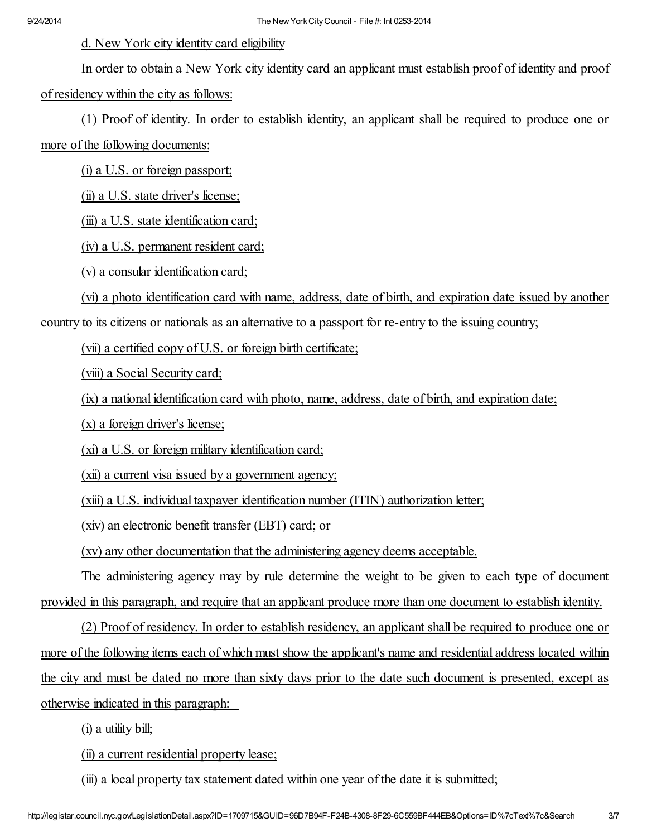d. New York city identity card eligibility

In order to obtain a New York city identity card an applicant must establish proof of identity and proof of residency within the city as follows:

(1) Proof of identity. In order to establish identity, an applicant shall be required to produce one or

more of the following documents:

(i) a U.S. or foreign passport;

(ii) a U.S. state driver's license;

(iii) a U.S. state identification card;

(iv) a U.S. permanent resident card;

(v) a consular identification card;

(vi) a photo identification card with name, address, date of birth, and expiration date issued by another

country to its citizens or nationals as an alternative to a passport for re-entry to the issuing country;

(vii) a certified copy of U.S. or foreign birth certificate;

(viii) a Social Security card;

(ix) a national identification card with photo, name, address, date of birth, and expiration date;

(x) a foreign driver's license;

(xi) a U.S. or foreign military identification card;

(xii) a current visa issued by a government agency;

(xiii) a U.S. individual taxpayer identification number (ITIN) authorization letter;

(xiv) an electronic benefit transfer (EBT) card; or

(xv) any other documentation that the administering agency deems acceptable.

The administering agency may by rule determine the weight to be given to each type of document provided in this paragraph, and require that an applicant produce more than one document to establish identity.

(2) Proof of residency. In order to establish residency, an applicant shall be required to produce one or more of the following items each of which must show the applicant's name and residential address located within the city and must be dated no more than sixty days prior to the date such document is presented, except as otherwise indicated in this paragraph:

(i) a utility bill;

(ii) a current residential property lease;

(iii) a local property tax statement dated within one year of the date it is submitted;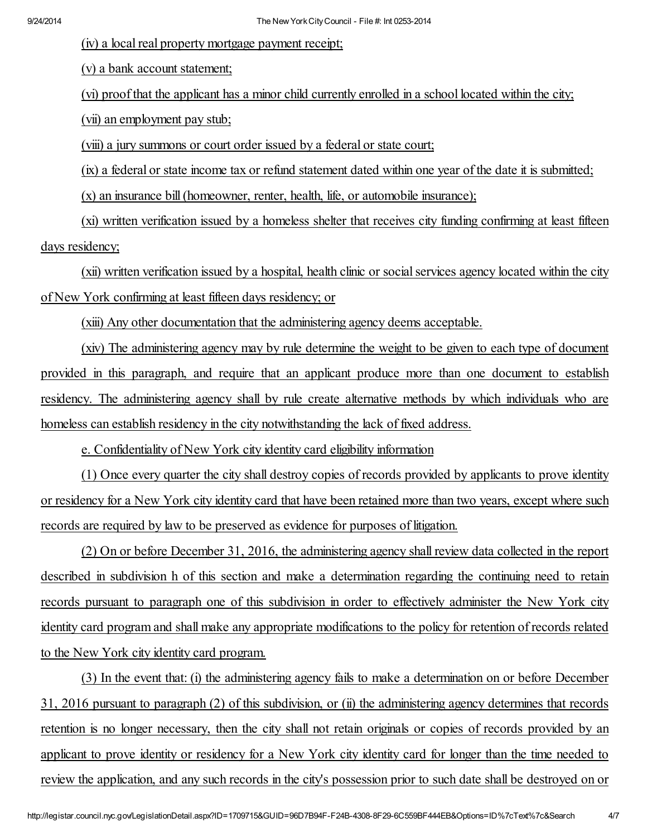(iv) a local real property mortgage payment receipt;

(v) a bank account statement;

(vi) proof that the applicant has a minor child currently enrolled in a school located within the city;

(vii) an employment pay stub;

(viii) a jury summons or court order issued by a federal or state court;

(ix) a federal or state income tax or refund statement dated within one year of the date it is submitted;

(x) an insurance bill(homeowner, renter, health, life, or automobile insurance);

(xi) written verification issued by a homeless shelter that receives city funding confirming at least fifteen days residency;

(xii) written verification issued by a hospital, health clinic or socialservices agency located within the city of New York confirming at least fifteen days residency; or

(xiii) Any other documentation that the administering agency deems acceptable.

(xiv) The administering agency may by rule determine the weight to be given to each type of document provided in this paragraph, and require that an applicant produce more than one document to establish residency. The administering agency shall by rule create alternative methods by which individuals who are homeless can establish residency in the city notwithstanding the lack of fixed address.

e. Confidentiality of New York city identity card eligibility information

(1) Once every quarter the city shall destroy copies of records provided by applicants to prove identity or residency for a New York city identity card that have been retained more than two years, except where such records are required by law to be preserved as evidence for purposes of litigation.

(2) On or before December 31, 2016, the administering agency shall review data collected in the report described in subdivision h of this section and make a determination regarding the continuing need to retain records pursuant to paragraph one of this subdivision in order to effectively administer the New York city identity card program and shall make any appropriate modifications to the policy for retention of records related to the New York city identity card program.

(3) In the event that: (i) the administering agency fails to make a determination on or before December 31, 2016 pursuant to paragraph (2) of this subdivision, or (ii) the administering agency determines that records retention is no longer necessary, then the city shall not retain originals or copies of records provided by an applicant to prove identity or residency for a New York city identity card for longer than the time needed to review the application, and any such records in the city's possession prior to such date shall be destroyed on or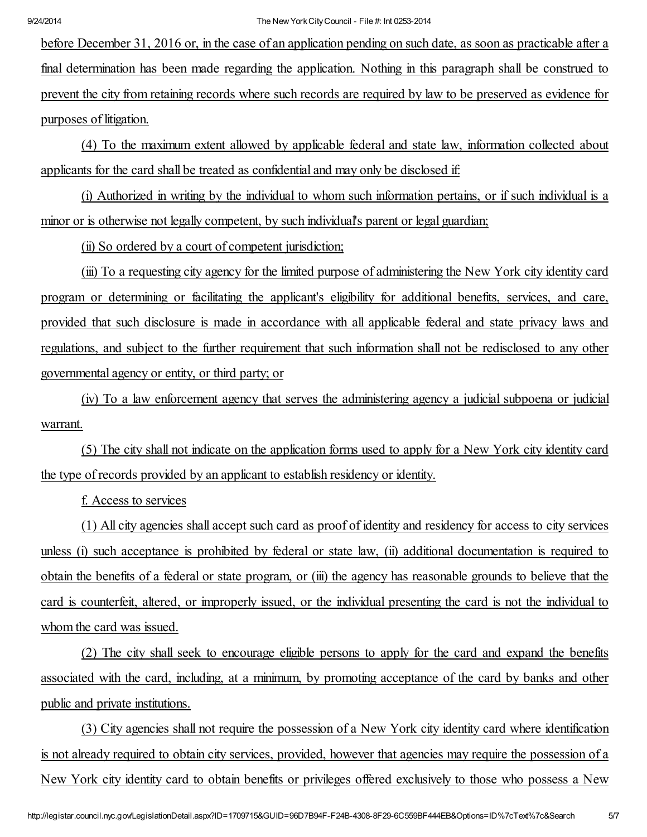before December 31, 2016 or, in the case of an application pending on such date, as soon as practicable after a final determination has been made regarding the application. Nothing in this paragraph shall be construed to prevent the city from retaining records where such records are required by law to be preserved as evidence for purposes of litigation.

(4) To the maximum extent allowed by applicable federal and state law, information collected about applicants for the card shall be treated as confidential and may only be disclosed if:

(i) Authorized in writing by the individual to whom such information pertains, or if such individual is a minor or is otherwise not legally competent, by such individual's parent or legal guardian;

(ii) So ordered by a court of competent jurisdiction;

(iii) To a requesting city agency for the limited purpose of administering the New York city identity card program or determining or facilitating the applicant's eligibility for additional benefits, services, and care, provided that such disclosure is made in accordance with all applicable federal and state privacy laws and regulations, and subject to the further requirement that such information shall not be redisclosed to any other governmental agency or entity, or third party; or

(iv) To a law enforcement agency that serves the administering agency a judicial subpoena or judicial warrant.

(5) The city shall not indicate on the application forms used to apply for a New York city identity card the type of records provided by an applicant to establish residency or identity.

f. Access to services

(1) All city agencies shall accept such card as proof of identity and residency for access to city services unless (i) such acceptance is prohibited by federal or state law, (ii) additional documentation is required to obtain the benefits of a federal or state program, or (iii) the agency has reasonable grounds to believe that the card is counterfeit, altered, or improperly issued, or the individual presenting the card is not the individual to whom the card was issued.

(2) The city shall seek to encourage eligible persons to apply for the card and expand the benefits associated with the card, including, at a minimum, by promoting acceptance of the card by banks and other public and private institutions.

(3) City agencies shall not require the possession of a New York city identity card where identification is not already required to obtain city services, provided, however that agencies may require the possession of a New York city identity card to obtain benefits or privileges offered exclusively to those who possess a New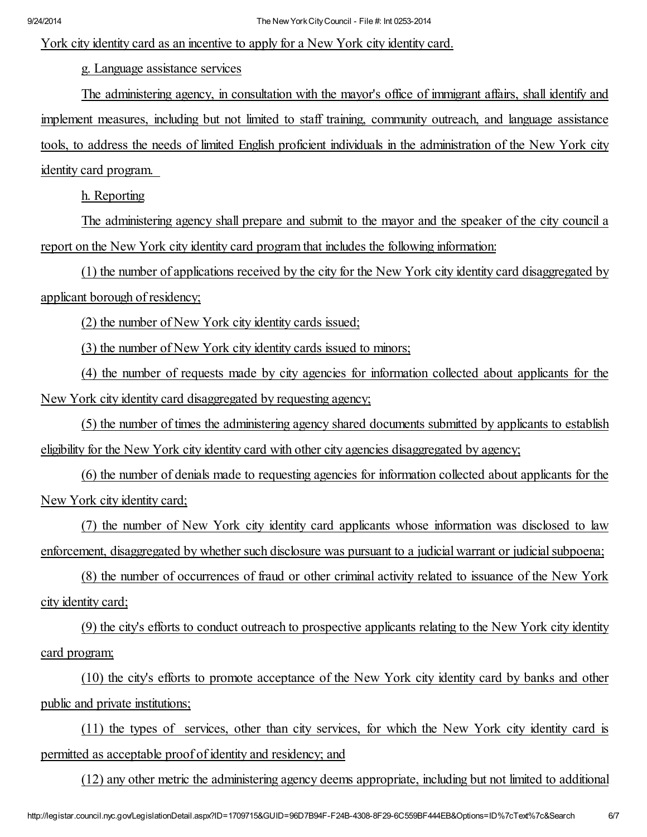## York city identity card as an incentive to apply for a New York city identity card.

g. Language assistance services

The administering agency, in consultation with the mayor's office of immigrant affairs, shall identify and implement measures, including but not limited to staff training, community outreach, and language assistance tools, to address the needs of limited English proficient individuals in the administration of the New York city identity card program.

h. Reporting

The administering agency shall prepare and submit to the mayor and the speaker of the city council a report on the New York city identity card program that includes the following information:

(1) the number of applications received by the city for the New York city identity card disaggregated by applicant borough of residency;

(2) the number of New York city identity cards issued;

(3) the number of New York city identity cards issued to minors;

(4) the number of requests made by city agencies for information collected about applicants for the New York city identity card disaggregated by requesting agency;

(5) the number of times the administering agency shared documents submitted by applicants to establish eligibility for the New York city identity card with other city agencies disaggregated by agency;

(6) the number of denials made to requesting agencies for information collected about applicants for the New York city identity card;

(7) the number of New York city identity card applicants whose information was disclosed to law enforcement, disaggregated by whether such disclosure was pursuant to a judicial warrant or judicial subpoena;

(8) the number of occurrences of fraud or other criminal activity related to issuance of the New York city identity card;

(9) the city's efforts to conduct outreach to prospective applicants relating to the New York city identity card program;

(10) the city's efforts to promote acceptance of the New York city identity card by banks and other public and private institutions;

(11) the types of services, other than city services, for which the New York city identity card is permitted as acceptable proof of identity and residency; and

(12) any other metric the administering agency deems appropriate, including but not limited to additional